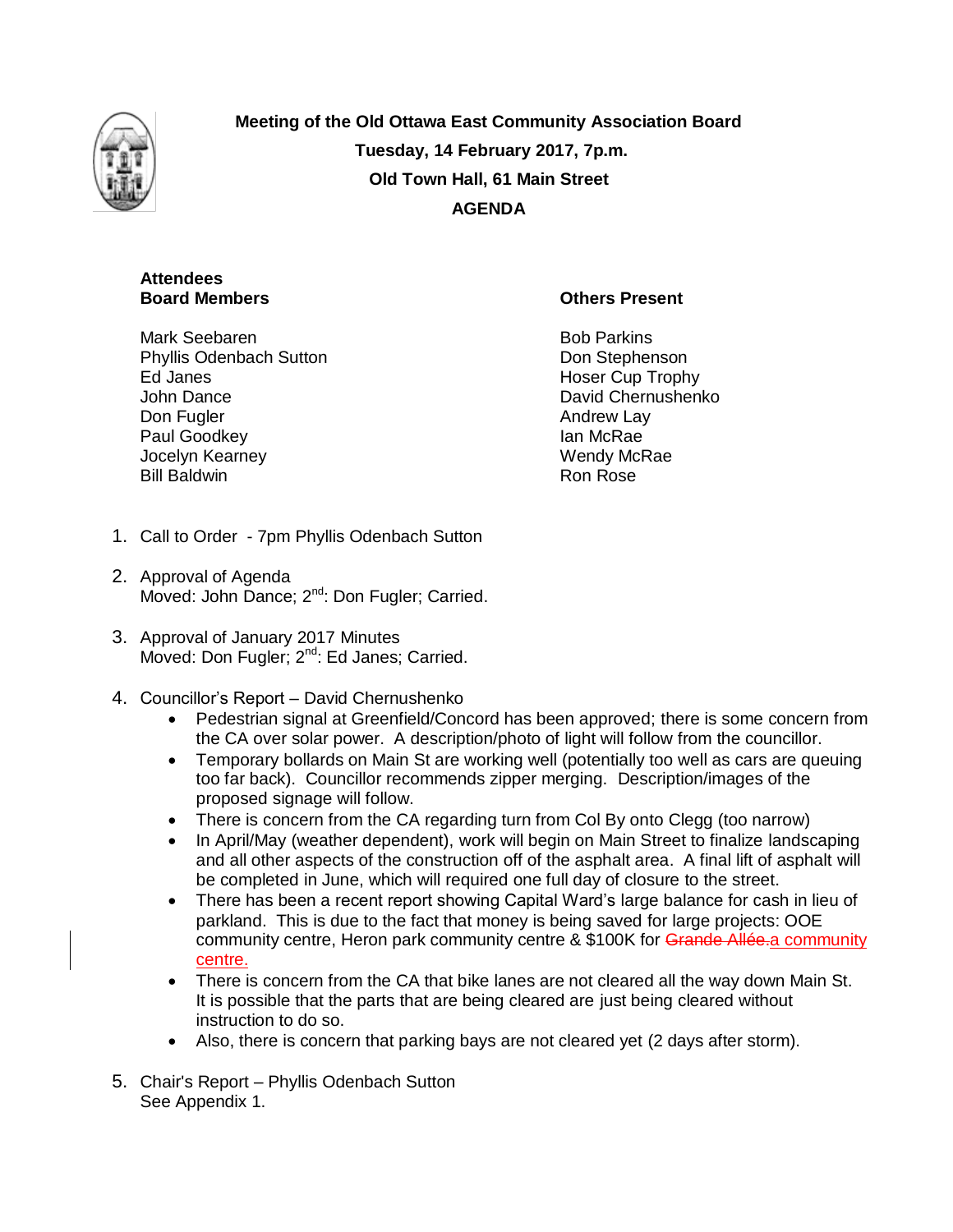

**Meeting of the Old Ottawa East Community Association Board Tuesday, 14 February 2017, 7p.m. Old Town Hall, 61 Main Street AGENDA**

# **Attendees Board Members**

**Others Present**

Mark Seebaren Phyllis Odenbach Sutton Ed Janes John Dance Don Fugler Paul Goodkey Jocelyn Kearney Bill Baldwin

Bob Parkins Don Stephenson Hoser Cup Trophy David Chernushenko Andrew Lay Ian McRae Wendy McRae Ron Rose

- 1. Call to Order 7pm Phyllis Odenbach Sutton
- 2. Approval of Agenda Moved: John Dance; 2<sup>nd</sup>: Don Fugler; Carried.
- 3. Approval of January 2017 Minutes Moved: Don Fugler; 2<sup>nd</sup>: Ed Janes; Carried.
- 4. Councillor's Report David Chernushenko
	- Pedestrian signal at Greenfield/Concord has been approved; there is some concern from the CA over solar power. A description/photo of light will follow from the councillor.
	- Temporary bollards on Main St are working well (potentially too well as cars are queuing too far back). Councillor recommends zipper merging. Description/images of the proposed signage will follow.
	- There is concern from the CA regarding turn from Col By onto Clegg (too narrow)
	- In April/May (weather dependent), work will begin on Main Street to finalize landscaping and all other aspects of the construction off of the asphalt area. A final lift of asphalt will be completed in June, which will required one full day of closure to the street.
	- There has been a recent report showing Capital Ward's large balance for cash in lieu of parkland. This is due to the fact that money is being saved for large projects: OOE community centre, Heron park community centre & \$100K for Grande Allée.a community centre.
	- There is concern from the CA that bike lanes are not cleared all the way down Main St. It is possible that the parts that are being cleared are just being cleared without instruction to do so.
	- Also, there is concern that parking bays are not cleared yet (2 days after storm).
- 5. Chair's Report Phyllis Odenbach Sutton See Appendix 1.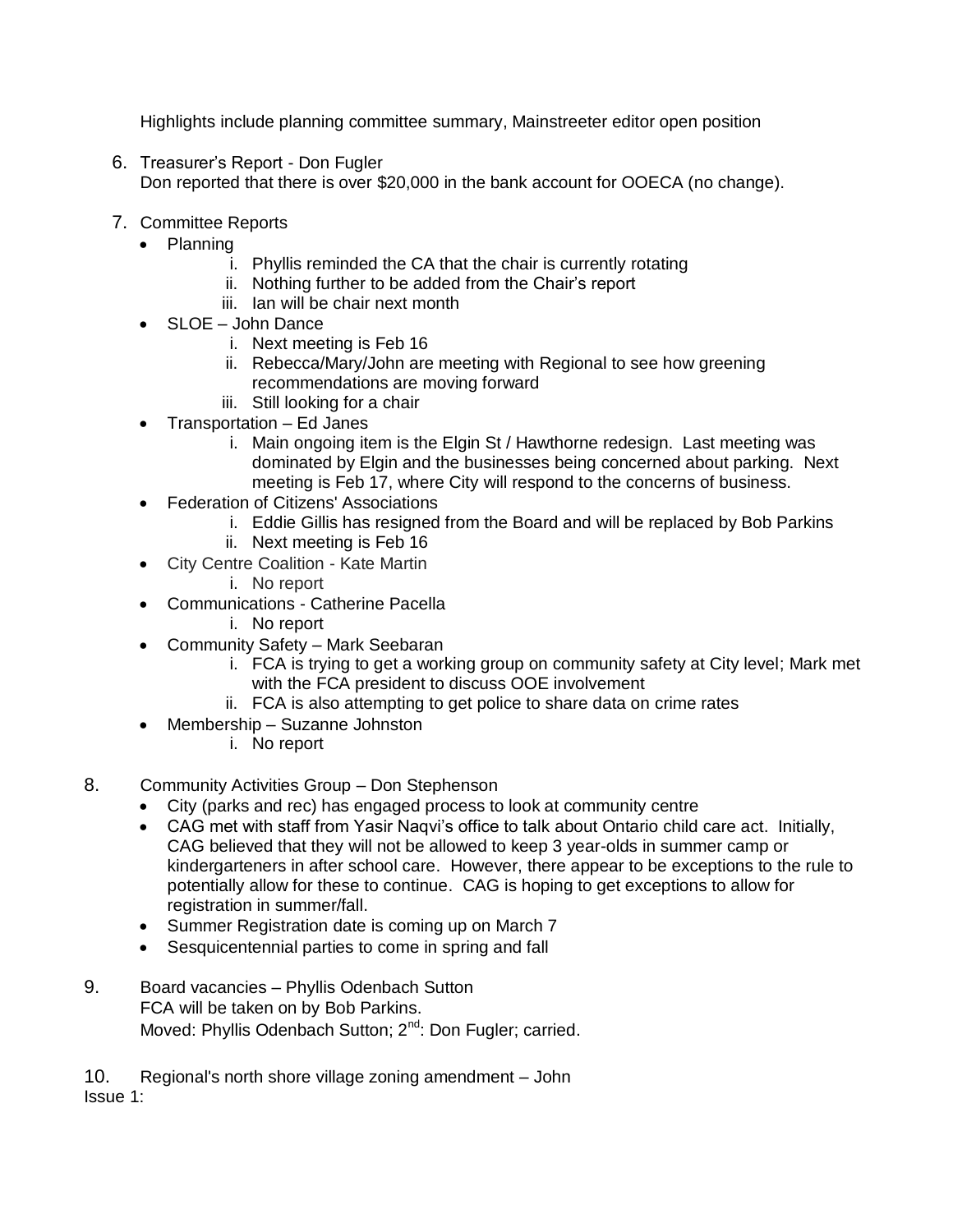Highlights include planning committee summary, Mainstreeter editor open position

- 6. Treasurer's Report Don Fugler Don reported that there is over \$20,000 in the bank account for OOECA (no change).
- 7. Committee Reports
	- Planning
		- i. Phyllis reminded the CA that the chair is currently rotating
		- ii. Nothing further to be added from the Chair's report
		- iii. Ian will be chair next month
	- SLOE John Dance
		- i. Next meeting is Feb 16
		- ii. Rebecca/Mary/John are meeting with Regional to see how greening recommendations are moving forward
		- iii. Still looking for a chair
	- Transportation Ed Janes
		- i. Main ongoing item is the Elgin St / Hawthorne redesign. Last meeting was dominated by Elgin and the businesses being concerned about parking. Next meeting is Feb 17, where City will respond to the concerns of business.
	- **•** Federation of Citizens' Associations
		- i. Eddie Gillis has resigned from the Board and will be replaced by Bob Parkins
		- ii. Next meeting is Feb 16
	- City Centre Coalition Kate Martin
		- i. No report
	- Communications Catherine Pacella
		- i. No report
	- Community Safety Mark Seebaran
		- i. FCA is trying to get a working group on community safety at City level; Mark met with the FCA president to discuss OOE involvement
		- ii. FCA is also attempting to get police to share data on crime rates
	- Membership Suzanne Johnston
		- i. No report
- 8. Community Activities Group Don Stephenson
	- City (parks and rec) has engaged process to look at community centre
	- CAG met with staff from Yasir Naqvi's office to talk about Ontario child care act. Initially, CAG believed that they will not be allowed to keep 3 year-olds in summer camp or kindergarteners in after school care. However, there appear to be exceptions to the rule to potentially allow for these to continue. CAG is hoping to get exceptions to allow for registration in summer/fall.
	- Summer Registration date is coming up on March 7
	- Sesquicentennial parties to come in spring and fall
- 9. Board vacancies Phyllis Odenbach Sutton FCA will be taken on by Bob Parkins. Moved: Phyllis Odenbach Sutton; 2<sup>nd</sup>: Don Fugler; carried.

10. Regional's north shore village zoning amendment – John Issue 1: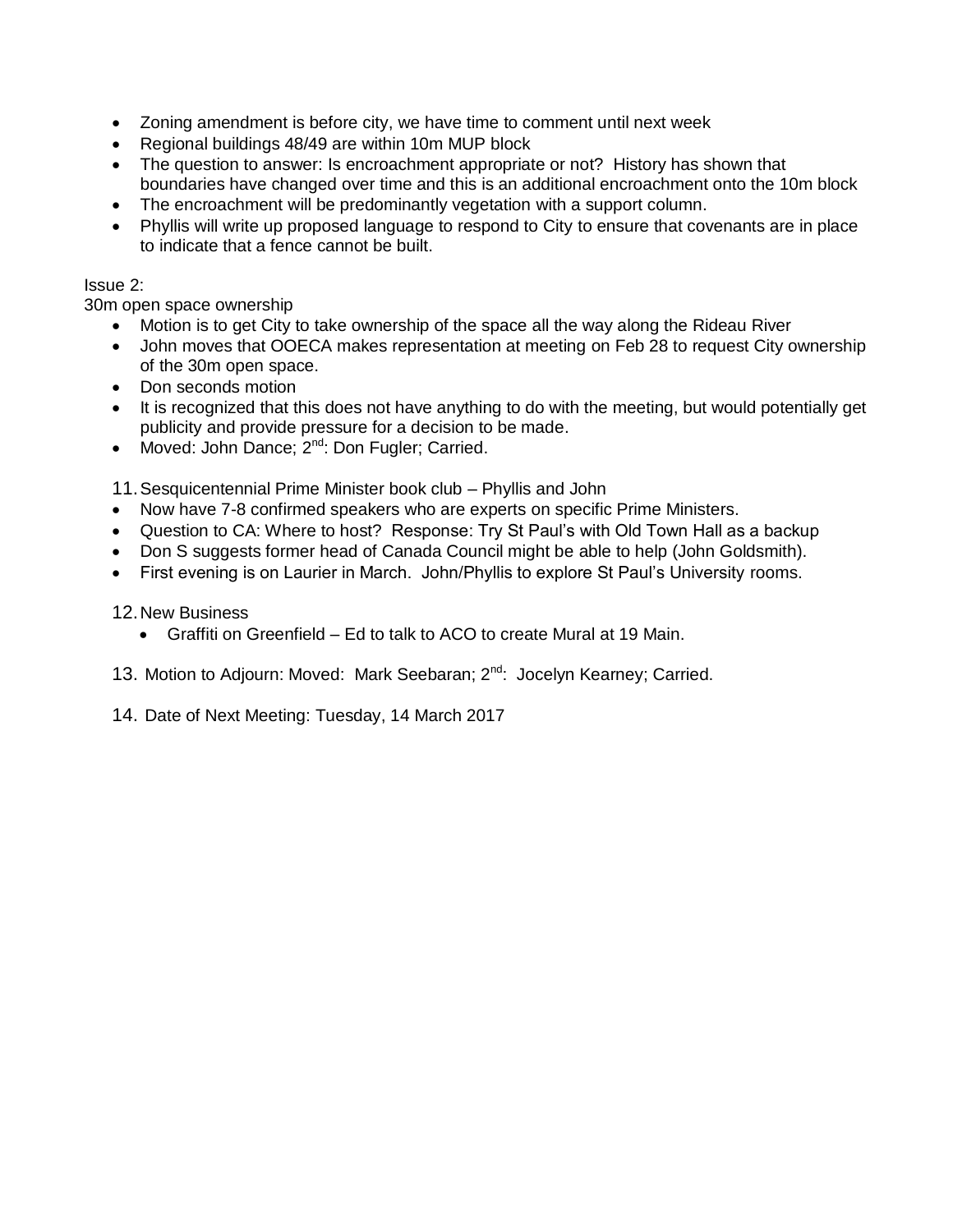- Zoning amendment is before city, we have time to comment until next week
- Regional buildings 48/49 are within 10m MUP block
- The question to answer: Is encroachment appropriate or not? History has shown that boundaries have changed over time and this is an additional encroachment onto the 10m block
- The encroachment will be predominantly vegetation with a support column.
- Phyllis will write up proposed language to respond to City to ensure that covenants are in place to indicate that a fence cannot be built.

# Issue 2:

30m open space ownership

- Motion is to get City to take ownership of the space all the way along the Rideau River
- John moves that OOECA makes representation at meeting on Feb 28 to request City ownership of the 30m open space.
- Don seconds motion
- It is recognized that this does not have anything to do with the meeting, but would potentially get publicity and provide pressure for a decision to be made.
- Moved: John Dance; 2<sup>nd</sup>: Don Fugler; Carried.

11.Sesquicentennial Prime Minister book club – Phyllis and John

- Now have 7-8 confirmed speakers who are experts on specific Prime Ministers.
- Question to CA: Where to host? Response: Try St Paul's with Old Town Hall as a backup
- Don S suggests former head of Canada Council might be able to help (John Goldsmith).
- First evening is on Laurier in March. John/Phyllis to explore St Paul's University rooms.

12.New Business

Graffiti on Greenfield – Ed to talk to ACO to create Mural at 19 Main.

13. Motion to Adjourn: Moved: Mark Seebaran; 2<sup>nd</sup>: Jocelyn Kearney; Carried.

14. Date of Next Meeting: Tuesday, 14 March 2017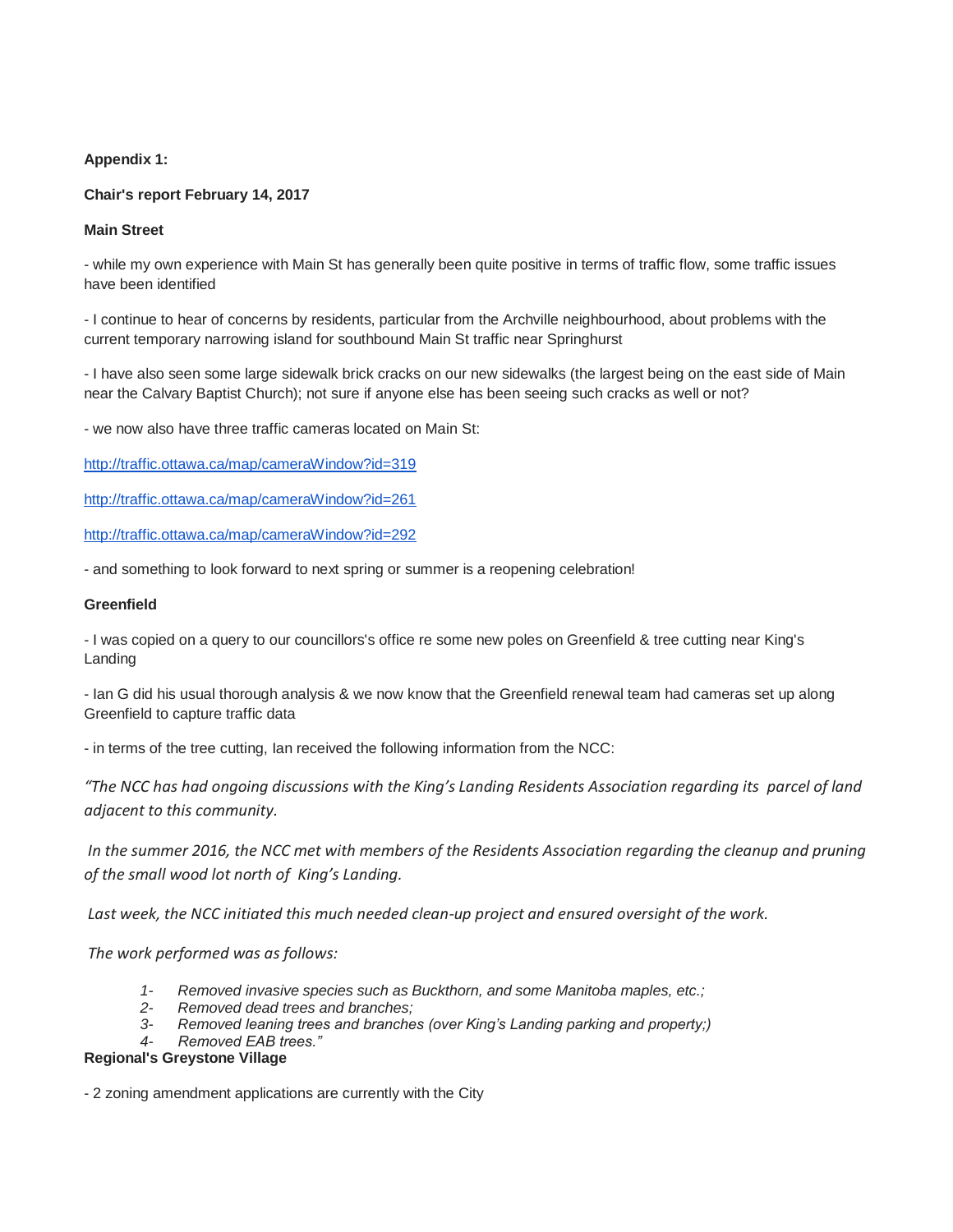**Appendix 1:** 

## **Chair's report February 14, 2017**

**Main Street**

- while my own experience with Main St has generally been quite positive in terms of traffic flow, some traffic issues have been identified

- I continue to hear of concerns by residents, particular from the Archville neighbourhood, about problems with the current temporary narrowing island for southbound Main St traffic near Springhurst

- I have also seen some large sidewalk brick cracks on our new sidewalks (the largest being on the east side of Main near the Calvary Baptist Church); not sure if anyone else has been seeing such cracks as well or not?

- we now also have three traffic cameras located on Main St:

<http://traffic.ottawa.ca/map/cameraWindow?id=319>

<http://traffic.ottawa.ca/map/cameraWindow?id=261>

<http://traffic.ottawa.ca/map/cameraWindow?id=292>

- and something to look forward to next spring or summer is a reopening celebration!

#### **Greenfield**

- I was copied on a query to our councillors's office re some new poles on Greenfield & tree cutting near King's Landing

- Ian G did his usual thorough analysis & we now know that the Greenfield renewal team had cameras set up along Greenfield to capture traffic data

- in terms of the tree cutting, Ian received the following information from the NCC:

*"The NCC has had ongoing discussions with the King's Landing Residents Association regarding its parcel of land adjacent to this community.*

*In the summer 2016, the NCC met with members of the Residents Association regarding the cleanup and pruning of the small wood lot north of King's Landing.*

*Last week, the NCC initiated this much needed clean-up project and ensured oversight of the work.*

*The work performed was as follows:*

- *1- Removed invasive species such as Buckthorn, and some Manitoba maples, etc.;*
- *2- Removed dead trees and branches;*
- *3- Removed leaning trees and branches (over King's Landing parking and property;)*

*4- Removed EAB trees."*

## **Regional's Greystone Village**

- 2 zoning amendment applications are currently with the City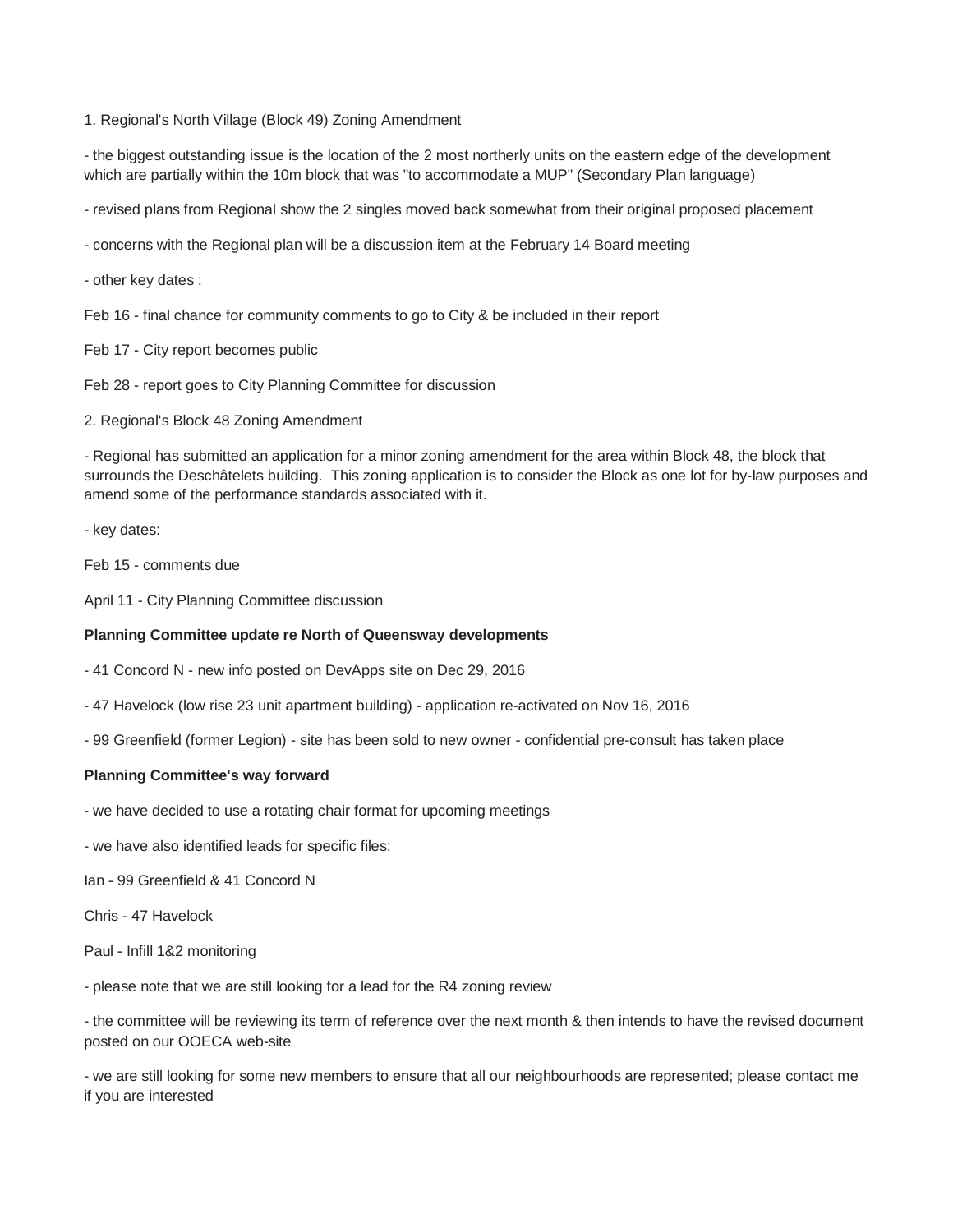1. Regional's North Village (Block 49) Zoning Amendment

- the biggest outstanding issue is the location of the 2 most northerly units on the eastern edge of the development which are partially within the 10m block that was "to accommodate a MUP" (Secondary Plan language)

- revised plans from Regional show the 2 singles moved back somewhat from their original proposed placement

- concerns with the Regional plan will be a discussion item at the February 14 Board meeting

- other key dates :

Feb 16 - final chance for community comments to go to City & be included in their report

Feb 17 - City report becomes public

Feb 28 - report goes to City Planning Committee for discussion

2. Regional's Block 48 Zoning Amendment

- Regional has submitted an application for a minor zoning amendment for the area within Block 48, the block that surrounds the Deschâtelets building. This zoning application is to consider the Block as one lot for by-law purposes and amend some of the performance standards associated with it.

- key dates:

Feb 15 - comments due

April 11 - City Planning Committee discussion

#### **Planning Committee update re North of Queensway developments**

- 41 Concord N - new info posted on DevApps site on Dec 29, 2016

- 47 Havelock (low rise 23 unit apartment building) application re-activated on Nov 16, 2016
- 99 Greenfield (former Legion) site has been sold to new owner confidential pre-consult has taken place

#### **Planning Committee's way forward**

- we have decided to use a rotating chair format for upcoming meetings

- we have also identified leads for specific files:

Ian - 99 Greenfield & 41 Concord N

Chris - 47 Havelock

Paul - Infill 1&2 monitoring

- please note that we are still looking for a lead for the R4 zoning review

- the committee will be reviewing its term of reference over the next month & then intends to have the revised document posted on our OOECA web-site

- we are still looking for some new members to ensure that all our neighbourhoods are represented; please contact me if you are interested